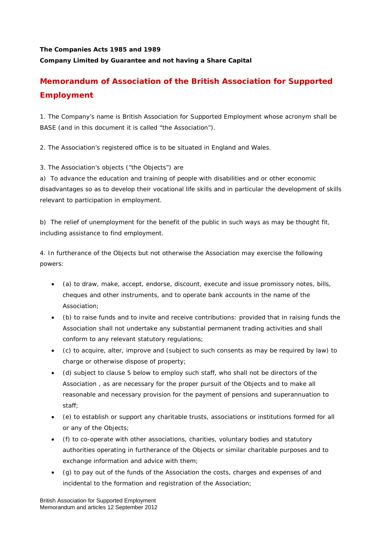## **The Companies Acts 1985 and 1989 Company Limited by Guarantee and not having a Share Capital**

# **Memorandum of Association of the British Association for Supported Employment**

1. The Company's name is British Association for Supported Employment whose acronym shall be BASE (and in this document it is called "the Association").

2. The Association's registered office is to be situated in England and Wales.

3. The Association's objects ("the Objects") are

a) To advance the education and training of people with disabilities and or other economic disadvantages so as to develop their vocational life skills and in particular the development of skills relevant to participation in employment.

b) The relief of unemployment for the benefit of the public in such ways as may be thought fit, including assistance to find employment.

4. In furtherance of the Objects but not otherwise the Association may exercise the following powers:

- (a) to draw, make, accept, endorse, discount, execute and issue promissory notes, bills, cheques and other instruments, and to operate bank accounts in the name of the Association;
- (b) to raise funds and to invite and receive contributions: provided that in raising funds the Association shall not undertake any substantial permanent trading activities and shall conform to any relevant statutory regulations;
- (c) to acquire, alter, improve and (subject to such consents as may be required by law) to charge or otherwise dispose of property;
- (d) subject to clause 5 below to employ such staff, who shall not be directors of the Association , as are necessary for the proper pursuit of the Objects and to make all reasonable and necessary provision for the payment of pensions and superannuation to staff;
- (e) to establish or support any charitable trusts, associations or institutions formed for all or any of the Objects;
- (f) to co-operate with other associations, charities, voluntary bodies and statutory authorities operating in furtherance of the Objects or similar charitable purposes and to exchange information and advice with them;
- (g) to pay out of the funds of the Association the costs, charges and expenses of and incidental to the formation and registration of the Association;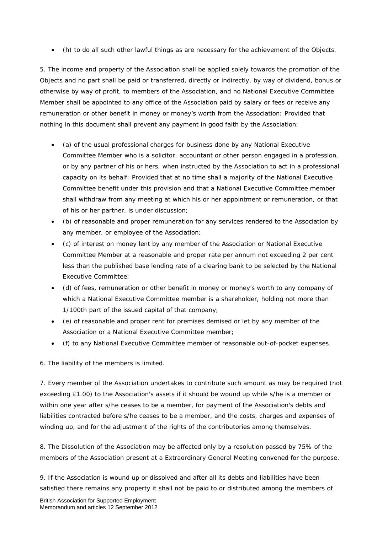(h) to do all such other lawful things as are necessary for the achievement of the Objects.

5. The income and property of the Association shall be applied solely towards the promotion of the Objects and no part shall be paid or transferred, directly or indirectly, by way of dividend, bonus or otherwise by way of profit, to members of the Association, and no National Executive Committee Member shall be appointed to any office of the Association paid by salary or fees or receive any remuneration or other benefit in money or money's worth from the Association: Provided that nothing in this document shall prevent any payment in good faith by the Association;

- (a) of the usual professional charges for business done by any National Executive Committee Member who is a solicitor, accountant or other person engaged in a profession, or by any partner of his or hers, when instructed by the Association to act in a professional capacity on its behalf: Provided that at no time shall a majority of the National Executive Committee benefit under this provision and that a National Executive Committee member shall withdraw from any meeting at which his or her appointment or remuneration, or that of his or her partner, is under discussion;
- (b) of reasonable and proper remuneration for any services rendered to the Association by any member, or employee of the Association;
- (c) of interest on money lent by any member of the Association or National Executive Committee Member at a reasonable and proper rate per annum not exceeding 2 per cent less than the published base lending rate of a clearing bank to be selected by the National Executive Committee;
- (d) of fees, remuneration or other benefit in money or money's worth to any company of which a National Executive Committee member is a shareholder, holding not more than 1/100th part of the issued capital of that company;
- (e) of reasonable and proper rent for premises demised or let by any member of the Association or a National Executive Committee member;
- (f) to any National Executive Committee member of reasonable out-of-pocket expenses.

6. The liability of the members is limited.

7. Every member of the Association undertakes to contribute such amount as may be required (not exceeding £1.00) to the Association's assets if it should be wound up while s/he is a member or within one year after s/he ceases to be a member, for payment of the Association's debts and liabilities contracted before s/he ceases to be a member, and the costs, charges and expenses of winding up, and for the adjustment of the rights of the contributories among themselves.

8. The Dissolution of the Association may be affected only by a resolution passed by 75% of the members of the Association present at a Extraordinary General Meeting convened for the purpose.

9. If the Association is wound up or dissolved and after all its debts and liabilities have been satisfied there remains any property it shall not be paid to or distributed among the members of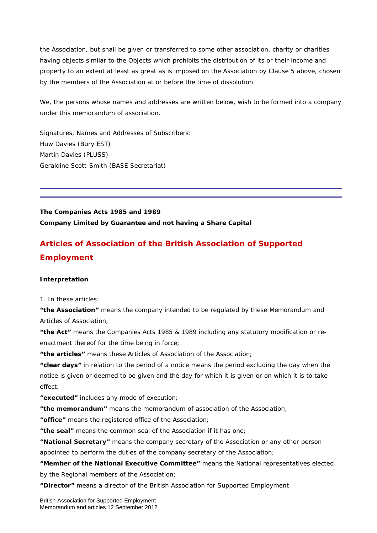the Association, but shall be given or transferred to some other association, charity or charities having objects similar to the Objects which prohibits the distribution of its or their income and property to an extent at least as great as is imposed on the Association by Clause 5 above, chosen by the members of the Association at or before the time of dissolution.

We, the persons whose names and addresses are written below, wish to be formed into a company under this memorandum of association.

Signatures, Names and Addresses of Subscribers: Huw Davies (Bury EST) Martin Davies (PLUSS) Geraldine Scott-Smith (BASE Secretariat)

**The Companies Acts 1985 and 1989 Company Limited by Guarantee and not having a Share Capital** 

# **Articles of Association of the British Association of Supported Employment**

## **Interpretation**

1. In these articles:

**"the Association"** means the company intended to be regulated by these Memorandum and Articles of Association;

**"the Act"** means the Companies Acts 1985 & 1989 including any statutory modification or reenactment thereof for the time being in force;

**"the articles"** means these Articles of Association of the Association;

**"clear days"** in relation to the period of a notice means the period excluding the day when the notice is given or deemed to be given and the day for which it is given or on which it is to take effect;

**"executed"** includes any mode of execution;

**"the memorandum"** means the memorandum of association of the Association;

**"office"** means the registered office of the Association;

**"the seal"** means the common seal of the Association if it has one;

**"National Secretary"** means the company secretary of the Association or any other person appointed to perform the duties of the company secretary of the Association;

**"Member of the National Executive Committee"** means the National representatives elected by the Regional members of the Association;

**"Director"** means a director of the British Association for Supported Employment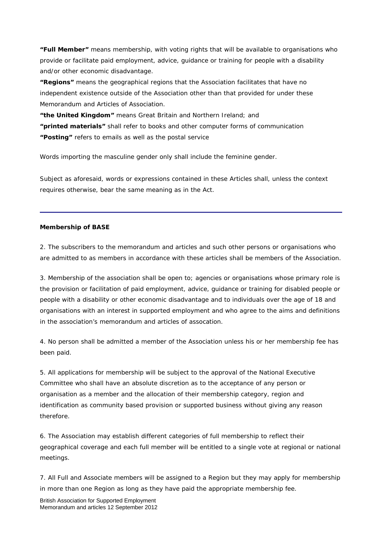**"Full Member"** means membership, with voting rights that will be available to organisations who provide or facilitate paid employment, advice, guidance or training for people with a disability and/or other economic disadvantage.

**"Regions"** means the geographical regions that the Association facilitates that have no independent existence outside of the Association other than that provided for under these Memorandum and Articles of Association.

**"the United Kingdom"** means Great Britain and Northern Ireland; and **"printed materials"** shall refer to books and other computer forms of communication **"Posting"** refers to emails as well as the postal service

Words importing the masculine gender only shall include the feminine gender.

Subject as aforesaid, words or expressions contained in these Articles shall, unless the context requires otherwise, bear the same meaning as in the Act.

#### **Membership of BASE**

2. The subscribers to the memorandum and articles and such other persons or organisations who are admitted to as members in accordance with these articles shall be members of the Association.

3. Membership of the association shall be open to; agencies or organisations whose primary role is the provision or facilitation of paid employment, advice, guidance or training for disabled people or people with a disability or other economic disadvantage and to individuals over the age of 18 and organisations with an interest in supported employment and who agree to the aims and definitions in the association's memorandum and articles of assocation.

4. No person shall be admitted a member of the Association unless his or her membership fee has been paid.

5. All applications for membership will be subject to the approval of the National Executive Committee who shall have an absolute discretion as to the acceptance of any person or organisation as a member and the allocation of their membership category, region and identification as community based provision or supported business without giving any reason therefore.

6. The Association may establish different categories of full membership to reflect their geographical coverage and each full member will be entitled to a single vote at regional or national meetings.

7. All Full and Associate members will be assigned to a Region but they may apply for membership in more than one Region as long as they have paid the appropriate membership fee.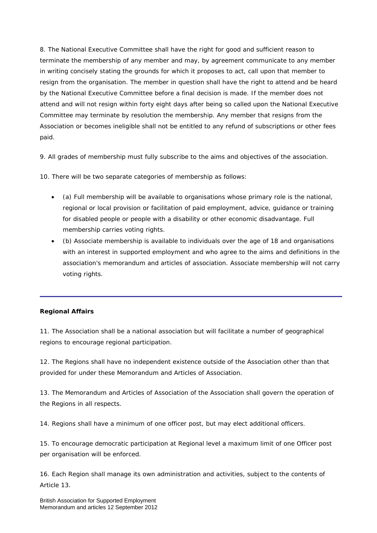8. The National Executive Committee shall have the right for good and sufficient reason to terminate the membership of any member and may, by agreement communicate to any member in writing concisely stating the grounds for which it proposes to act, call upon that member to resign from the organisation. The member in question shall have the right to attend and be heard by the National Executive Committee before a final decision is made. If the member does not attend and will not resign within forty eight days after being so called upon the National Executive Committee may terminate by resolution the membership. Any member that resigns from the Association or becomes ineligible shall not be entitled to any refund of subscriptions or other fees paid.

9. All grades of membership must fully subscribe to the aims and objectives of the association.

10. There will be two separate categories of membership as follows:

- (a) Full membership will be available to organisations whose primary role is the national, regional or local provision or facilitation of paid employment, advice, guidance or training for disabled people or people with a disability or other economic disadvantage. Full membership carries voting rights.
- (b) Associate membership is available to individuals over the age of 18 and organisations with an interest in supported employment and who agree to the aims and definitions in the association's memorandum and articles of association. Associate membership will not carry voting rights.

## **Regional Affairs**

11. The Association shall be a national association but will facilitate a number of geographical regions to encourage regional participation.

12. The Regions shall have no independent existence outside of the Association other than that provided for under these Memorandum and Articles of Association.

13. The Memorandum and Articles of Association of the Association shall govern the operation of the Regions in all respects.

14. Regions shall have a minimum of one officer post, but may elect additional officers.

15. To encourage democratic participation at Regional level a maximum limit of one Officer post per organisation will be enforced.

16. Each Region shall manage its own administration and activities, subject to the contents of Article 13.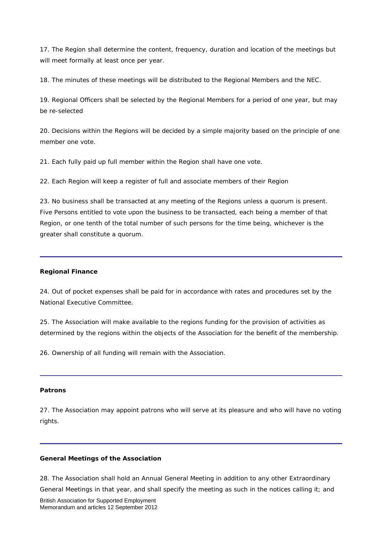17. The Region shall determine the content, frequency, duration and location of the meetings but will meet formally at least once per year.

18. The minutes of these meetings will be distributed to the Regional Members and the NEC.

19. Regional Officers shall be selected by the Regional Members for a period of one year, but may be re-selected

20. Decisions within the Regions will be decided by a simple majority based on the principle of one member one vote.

21. Each fully paid up full member within the Region shall have one vote.

22. Each Region will keep a register of full and associate members of their Region

23. No business shall be transacted at any meeting of the Regions unless a quorum is present. Five Persons entitled to vote upon the business to be transacted, each being a member of that Region, or one tenth of the total number of such persons for the time being, whichever is the greater shall constitute a quorum.

#### **Regional Finance**

24. Out of pocket expenses shall be paid for in accordance with rates and procedures set by the National Executive Committee.

25. The Association will make available to the regions funding for the provision of activities as determined by the regions within the objects of the Association for the benefit of the membership.

26. Ownership of all funding will remain with the Association.

#### **Patrons**

27. The Association may appoint patrons who will serve at its pleasure and who will have no voting rights.

#### **General Meetings of the Association**

28. The Association shall hold an Annual General Meeting in addition to any other Extraordinary General Meetings in that year, and shall specify the meeting as such in the notices calling it; and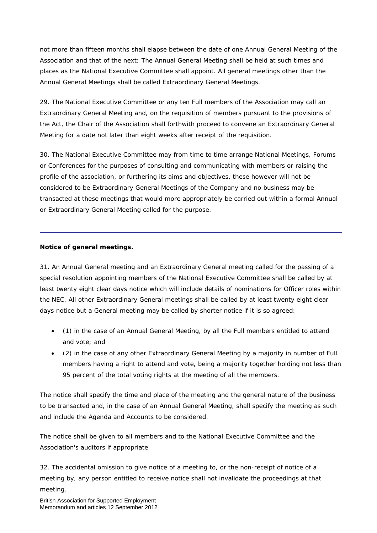not more than fifteen months shall elapse between the date of one Annual General Meeting of the Association and that of the next: The Annual General Meeting shall be held at such times and places as the National Executive Committee shall appoint. All general meetings other than the Annual General Meetings shall be called Extraordinary General Meetings.

29. The National Executive Committee or any ten Full members of the Association may call an Extraordinary General Meeting and, on the requisition of members pursuant to the provisions of the Act, the Chair of the Association shall forthwith proceed to convene an Extraordinary General Meeting for a date not later than eight weeks after receipt of the requisition.

30. The National Executive Committee may from time to time arrange National Meetings, Forums or Conferences for the purposes of consulting and communicating with members or raising the profile of the association, or furthering its aims and objectives, these however will not be considered to be Extraordinary General Meetings of the Company and no business may be transacted at these meetings that would more appropriately be carried out within a formal Annual or Extraordinary General Meeting called for the purpose.

## **Notice of general meetings.**

31. An Annual General meeting and an Extraordinary General meeting called for the passing of a special resolution appointing members of the National Executive Committee shall be called by at least twenty eight clear days notice which will include details of nominations for Officer roles within the NEC. All other Extraordinary General meetings shall be called by at least twenty eight clear days notice but a General meeting may be called by shorter notice if it is so agreed:

- (1) in the case of an Annual General Meeting, by all the Full members entitled to attend and vote; and
- (2) in the case of any other Extraordinary General Meeting by a majority in number of Full members having a right to attend and vote, being a majority together holding not less than 95 percent of the total voting rights at the meeting of all the members.

The notice shall specify the time and place of the meeting and the general nature of the business to be transacted and, in the case of an Annual General Meeting, shall specify the meeting as such and include the Agenda and Accounts to be considered.

The notice shall be given to all members and to the National Executive Committee and the Association's auditors if appropriate.

32. The accidental omission to give notice of a meeting to, or the non-receipt of notice of a meeting by, any person entitled to receive notice shall not invalidate the proceedings at that meeting.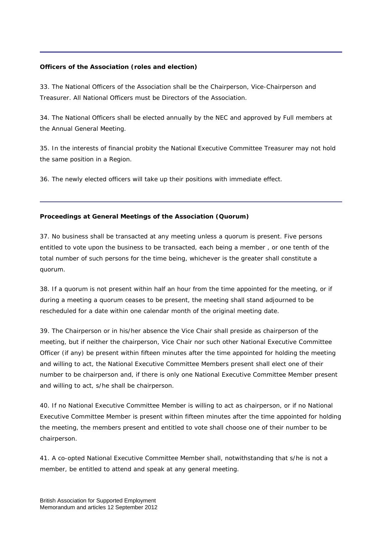## **Officers of the Association (roles and election)**

33. The National Officers of the Association shall be the Chairperson, Vice-Chairperson and Treasurer. All National Officers must be Directors of the Association.

34. The National Officers shall be elected annually by the NEC and approved by Full members at the Annual General Meeting.

35. In the interests of financial probity the National Executive Committee Treasurer may not hold the same position in a Region.

36. The newly elected officers will take up their positions with immediate effect.

## **Proceedings at General Meetings of the Association (Quorum)**

37. No business shall be transacted at any meeting unless a quorum is present. Five persons entitled to vote upon the business to be transacted, each being a member , or one tenth of the total number of such persons for the time being, whichever is the greater shall constitute a quorum.

38. If a quorum is not present within half an hour from the time appointed for the meeting, or if during a meeting a quorum ceases to be present, the meeting shall stand adjourned to be rescheduled for a date within one calendar month of the original meeting date.

39. The Chairperson or in his/her absence the Vice Chair shall preside as chairperson of the meeting, but if neither the chairperson, Vice Chair nor such other National Executive Committee Officer (if any) be present within fifteen minutes after the time appointed for holding the meeting and willing to act, the National Executive Committee Members present shall elect one of their number to be chairperson and, if there is only one National Executive Committee Member present and willing to act, s/he shall be chairperson.

40. If no National Executive Committee Member is willing to act as chairperson, or if no National Executive Committee Member is present within fifteen minutes after the time appointed for holding the meeting, the members present and entitled to vote shall choose one of their number to be chairperson.

41. A co-opted National Executive Committee Member shall, notwithstanding that s/he is not a member, be entitled to attend and speak at any general meeting.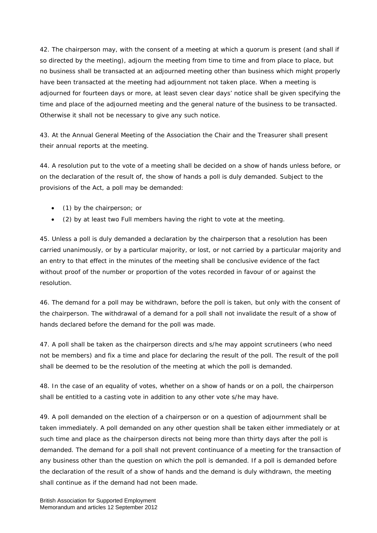42. The chairperson may, with the consent of a meeting at which a quorum is present (and shall if so directed by the meeting), adjourn the meeting from time to time and from place to place, but no business shall be transacted at an adjourned meeting other than business which might properly have been transacted at the meeting had adjournment not taken place. When a meeting is adjourned for fourteen days or more, at least seven clear days' notice shall be given specifying the time and place of the adjourned meeting and the general nature of the business to be transacted. Otherwise it shall not be necessary to give any such notice.

43. At the Annual General Meeting of the Association the Chair and the Treasurer shall present their annual reports at the meeting.

44. A resolution put to the vote of a meeting shall be decided on a show of hands unless before, or on the declaration of the result of, the show of hands a poll is duly demanded. Subject to the provisions of the Act, a poll may be demanded:

- (1) by the chairperson; or
- (2) by at least two Full members having the right to vote at the meeting.

45. Unless a poll is duly demanded a declaration by the chairperson that a resolution has been carried unanimously, or by a particular majority, or lost, or not carried by a particular majority and an entry to that effect in the minutes of the meeting shall be conclusive evidence of the fact without proof of the number or proportion of the votes recorded in favour of or against the resolution.

46. The demand for a poll may be withdrawn, before the poll is taken, but only with the consent of the chairperson. The withdrawal of a demand for a poll shall not invalidate the result of a show of hands declared before the demand for the poll was made.

47. A poll shall be taken as the chairperson directs and s/he may appoint scrutineers (who need not be members) and fix a time and place for declaring the result of the poll. The result of the poll shall be deemed to be the resolution of the meeting at which the poll is demanded.

48. In the case of an equality of votes, whether on a show of hands or on a poll, the chairperson shall be entitled to a casting vote in addition to any other vote s/he may have.

49. A poll demanded on the election of a chairperson or on a question of adjournment shall be taken immediately. A poll demanded on any other question shall be taken either immediately or at such time and place as the chairperson directs not being more than thirty days after the poll is demanded. The demand for a poll shall not prevent continuance of a meeting for the transaction of any business other than the question on which the poll is demanded. If a poll is demanded before the declaration of the result of a show of hands and the demand is duly withdrawn, the meeting shall continue as if the demand had not been made.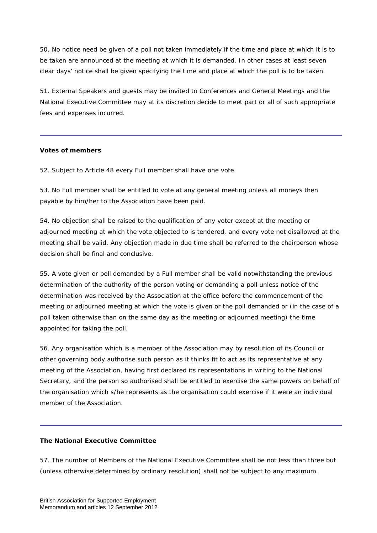50. No notice need be given of a poll not taken immediately if the time and place at which it is to be taken are announced at the meeting at which it is demanded. In other cases at least seven clear days' notice shall be given specifying the time and place at which the poll is to be taken.

51. External Speakers and guests may be invited to Conferences and General Meetings and the National Executive Committee may at its discretion decide to meet part or all of such appropriate fees and expenses incurred.

## **Votes of members**

52. Subject to Article 48 every Full member shall have one vote.

53. No Full member shall be entitled to vote at any general meeting unless all moneys then payable by him/her to the Association have been paid.

54. No objection shall be raised to the qualification of any voter except at the meeting or adjourned meeting at which the vote objected to is tendered, and every vote not disallowed at the meeting shall be valid. Any objection made in due time shall be referred to the chairperson whose decision shall be final and conclusive.

55. A vote given or poll demanded by a Full member shall be valid notwithstanding the previous determination of the authority of the person voting or demanding a poll unless notice of the determination was received by the Association at the office before the commencement of the meeting or adjourned meeting at which the vote is given or the poll demanded or (in the case of a poll taken otherwise than on the same day as the meeting or adjourned meeting) the time appointed for taking the poll.

56. Any organisation which is a member of the Association may by resolution of its Council or other governing body authorise such person as it thinks fit to act as its representative at any meeting of the Association, having first declared its representations in writing to the National Secretary, and the person so authorised shall be entitled to exercise the same powers on behalf of the organisation which s/he represents as the organisation could exercise if it were an individual member of the Association.

#### **The National Executive Committee**

57. The number of Members of the National Executive Committee shall be not less than three but (unless otherwise determined by ordinary resolution) shall not be subject to any maximum.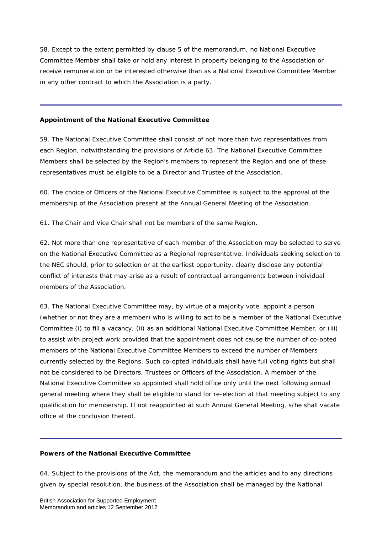58. Except to the extent permitted by clause 5 of the memorandum, no National Executive Committee Member shall take or hold any interest in property belonging to the Association or receive remuneration or be interested otherwise than as a National Executive Committee Member in any other contract to which the Association is a party.

#### **Appointment of the National Executive Committee**

59. The National Executive Committee shall consist of not more than two representatives from each Region, notwithstanding the provisions of Article 63. The National Executive Committee Members shall be selected by the Region's members to represent the Region and one of these representatives must be eligible to be a Director and Trustee of the Association.

60. The choice of Officers of the National Executive Committee is subject to the approval of the membership of the Association present at the Annual General Meeting of the Association.

61. The Chair and Vice Chair shall not be members of the same Region.

62. Not more than one representative of each member of the Association may be selected to serve on the National Executive Committee as a Regional representative. Individuals seeking selection to the NEC should, prior to selection or at the earliest opportunity, clearly disclose any potential conflict of interests that may arise as a result of contractual arrangements between individual members of the Association.

63. The National Executive Committee may, by virtue of a majority vote, appoint a person (whether or not they are a member) who is willing to act to be a member of the National Executive Committee (i) to fill a vacancy, (ii) as an additional National Executive Committee Member, or (iii) to assist with project work provided that the appointment does not cause the number of co-opted members of the National Executive Committee Members to exceed the number of Members currently selected by the Regions. Such co-opted individuals shall have full voting rights but shall not be considered to be Directors, Trustees or Officers of the Association. A member of the National Executive Committee so appointed shall hold office only until the next following annual general meeting where they shall be eligible to stand for re-election at that meeting subject to any qualification for membership. If not reappointed at such Annual General Meeting, s/he shall vacate office at the conclusion thereof.

## **Powers of the National Executive Committee**

64. Subject to the provisions of the Act, the memorandum and the articles and to any directions given by special resolution, the business of the Association shall be managed by the National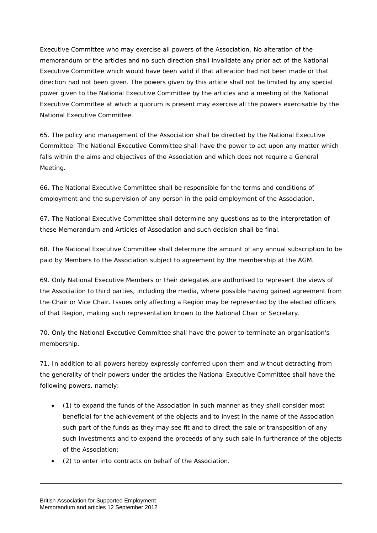Executive Committee who may exercise all powers of the Association. No alteration of the memorandum or the articles and no such direction shall invalidate any prior act of the National Executive Committee which would have been valid if that alteration had not been made or that direction had not been given. The powers given by this article shall not be limited by any special power given to the National Executive Committee by the articles and a meeting of the National Executive Committee at which a quorum is present may exercise all the powers exercisable by the National Executive Committee.

65. The policy and management of the Association shall be directed by the National Executive Committee. The National Executive Committee shall have the power to act upon any matter which falls within the aims and objectives of the Association and which does not require a General Meeting.

66. The National Executive Committee shall be responsible for the terms and conditions of employment and the supervision of any person in the paid employment of the Association.

67. The National Executive Committee shall determine any questions as to the interpretation of these Memorandum and Articles of Association and such decision shall be final.

68. The National Executive Committee shall determine the amount of any annual subscription to be paid by Members to the Association subject to agreement by the membership at the AGM.

69. Only National Executive Members or their delegates are authorised to represent the views of the Association to third parties, including the media, where possible having gained agreement from the Chair or Vice Chair. Issues only affecting a Region may be represented by the elected officers of that Region, making such representation known to the National Chair or Secretary.

70. Only the National Executive Committee shall have the power to terminate an organisation's membership.

71. In addition to all powers hereby expressly conferred upon them and without detracting from the generality of their powers under the articles the National Executive Committee shall have the following powers, namely:

- (1) to expand the funds of the Association in such manner as they shall consider most beneficial for the achievement of the objects and to invest in the name of the Association such part of the funds as they may see fit and to direct the sale or transposition of any such investments and to expand the proceeds of any such sale in furtherance of the objects of the Association;
- (2) to enter into contracts on behalf of the Association.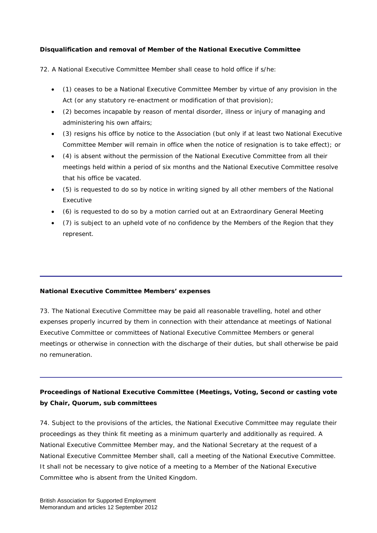## **Disqualification and removal of Member of the National Executive Committee**

72. A National Executive Committee Member shall cease to hold office if s/he:

- (1) ceases to be a National Executive Committee Member by virtue of any provision in the Act (or any statutory re-enactment or modification of that provision);
- (2) becomes incapable by reason of mental disorder, illness or injury of managing and administering his own affairs;
- (3) resigns his office by notice to the Association (but only if at least two National Executive Committee Member will remain in office when the notice of resignation is to take effect); or
- (4) is absent without the permission of the National Executive Committee from all their meetings held within a period of six months and the National Executive Committee resolve that his office be vacated.
- (5) is requested to do so by notice in writing signed by all other members of the National Executive
- (6) is requested to do so by a motion carried out at an Extraordinary General Meeting
- (7) is subject to an upheld vote of no confidence by the Members of the Region that they represent.

## **National Executive Committee Members' expenses**

73. The National Executive Committee may be paid all reasonable travelling, hotel and other expenses properly incurred by them in connection with their attendance at meetings of National Executive Committee or committees of National Executive Committee Members or general meetings or otherwise in connection with the discharge of their duties, but shall otherwise be paid no remuneration.

## **Proceedings of National Executive Committee (Meetings, Voting, Second or casting vote by Chair, Quorum, sub committees**

74. Subject to the provisions of the articles, the National Executive Committee may regulate their proceedings as they think fit meeting as a minimum quarterly and additionally as required. A National Executive Committee Member may, and the National Secretary at the request of a National Executive Committee Member shall, call a meeting of the National Executive Committee. It shall not be necessary to give notice of a meeting to a Member of the National Executive Committee who is absent from the United Kingdom.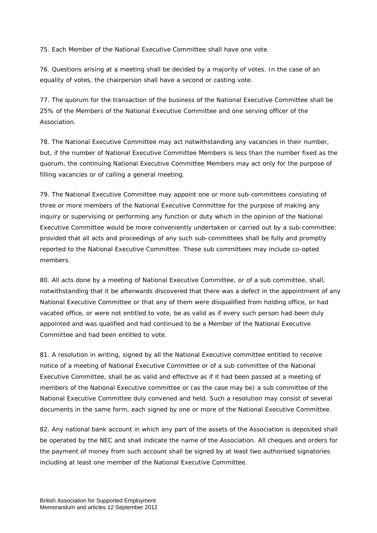75. Each Member of the National Executive Committee shall have one vote.

76. Questions arising at a meeting shall be decided by a majority of votes. In the case of an equality of votes, the chairperson shall have a second or casting vote.

77. The quorum for the transaction of the business of the National Executive Committee shall be 25% of the Members of the National Executive Committee and one serving officer of the Association.

78. The National Executive Committee may act notwithstanding any vacancies in their number, but, if the number of National Executive Committee Members is less than the number fixed as the quorum, the continuing National Executive Committee Members may act only for the purpose of filling vacancies or of calling a general meeting.

79. The National Executive Committee may appoint one or more sub-committees consisting of three or more members of the National Executive Committee for the purpose of making any inquiry or supervising or performing any function or duty which in the opinion of the National Executive Committee would be more conveniently undertaken or carried out by a sub-committee: provided that all acts and proceedings of any such sub-committees shall be fully and promptly reported to the National Executive Committee. These sub committees may include co-opted members.

80. All acts done by a meeting of National Executive Committee, or of a sub committee, shall, notwithstanding that it be afterwards discovered that there was a defect in the appointment of any National Executive Committee or that any of them were disqualified from holding office, or had vacated office, or were not entitled to vote, be as valid as if every such person had been duly appointed and was qualified and had continued to be a Member of the National Executive Committee and had been entitled to vote.

81. A resolution in writing, signed by all the National Executive committee entitled to receive notice of a meeting of National Executive Committee or of a sub committee of the National Executive Committee, shall be as valid and effective as if it had been passed at a meeting of members of the National Executive committee or (as the case may be) a sub committee of the National Executive Committee duly convened and held. Such a resolution may consist of several documents in the same form, each signed by one or more of the National Executive Committee.

82. Any national bank account in which any part of the assets of the Association is deposited shall be operated by the NEC and shall indicate the name of the Association. All cheques and orders for the payment of money from such account shall be signed by at least two authorised signatories including at least one member of the National Executive Committee.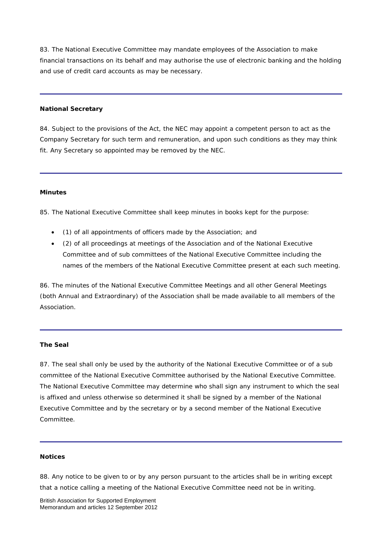83. The National Executive Committee may mandate employees of the Association to make financial transactions on its behalf and may authorise the use of electronic banking and the holding and use of credit card accounts as may be necessary.

#### **National Secretary**

84. Subject to the provisions of the Act, the NEC may appoint a competent person to act as the Company Secretary for such term and remuneration, and upon such conditions as they may think fit. Any Secretary so appointed may be removed by the NEC.

#### **Minutes**

85. The National Executive Committee shall keep minutes in books kept for the purpose:

- (1) of all appointments of officers made by the Association; and
- (2) of all proceedings at meetings of the Association and of the National Executive Committee and of sub committees of the National Executive Committee including the names of the members of the National Executive Committee present at each such meeting.

86. The minutes of the National Executive Committee Meetings and all other General Meetings (both Annual and Extraordinary) of the Association shall be made available to all members of the Association.

#### **The Seal**

87. The seal shall only be used by the authority of the National Executive Committee or of a sub committee of the National Executive Committee authorised by the National Executive Committee. The National Executive Committee may determine who shall sign any instrument to which the seal is affixed and unless otherwise so determined it shall be signed by a member of the National Executive Committee and by the secretary or by a second member of the National Executive Committee.

#### **Notices**

88. Any notice to be given to or by any person pursuant to the articles shall be in writing except that a notice calling a meeting of the National Executive Committee need not be in writing.